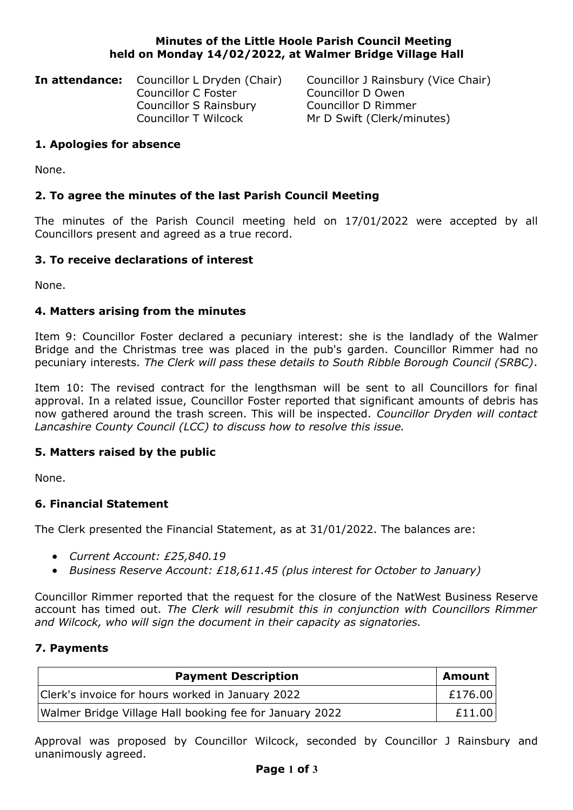### **Minutes of the Little Hoole Parish Council Meeting held on Monday 14/02/2022, at Walmer Bridge Village Hall**

**In attendance:** Councillor L Dryden (Chair) Councillor J Rainsbury (Vice Chair) Councillor C Foster Councillor D Owen Councillor S Rainsbury Councillor D Rimmer

Councillor T Wilcock Mr D Swift (Clerk/minutes)

## **1. Apologies for absence**

None.

# **2. To agree the minutes of the last Parish Council Meeting**

The minutes of the Parish Council meeting held on 17/01/2022 were accepted by all Councillors present and agreed as a true record.

#### **3. To receive declarations of interest**

None.

#### **4. Matters arising from the minutes**

Item 9: Councillor Foster declared a pecuniary interest: she is the landlady of the Walmer Bridge and the Christmas tree was placed in the pub's garden. Councillor Rimmer had no pecuniary interests. *The Clerk will pass these details to South Ribble Borough Council (SRBC)*.

Item 10: The revised contract for the lengthsman will be sent to all Councillors for final approval. In a related issue, Councillor Foster reported that significant amounts of debris has now gathered around the trash screen. This will be inspected. *Councillor Dryden will contact Lancashire County Council (LCC) to discuss how to resolve this issue.*

## **5. Matters raised by the public**

None.

#### **6. Financial Statement**

The Clerk presented the Financial Statement, as at 31/01/2022. The balances are:

- *Current Account: £25,840.19*
- *Business Reserve Account: £18,611.45 (plus interest for October to January)*

Councillor Rimmer reported that the request for the closure of the NatWest Business Reserve account has timed out. *The Clerk will resubmit this in conjunction with Councillors Rimmer and Wilcock, who will sign the document in their capacity as signatories.*

#### **7. Payments**

| <b>Payment Description</b>                              | <sup>'</sup> Amount |
|---------------------------------------------------------|---------------------|
| Clerk's invoice for hours worked in January 2022        | £176.00             |
| Walmer Bridge Village Hall booking fee for January 2022 | £11.00              |

Approval was proposed by Councillor Wilcock, seconded by Councillor J Rainsbury and unanimously agreed.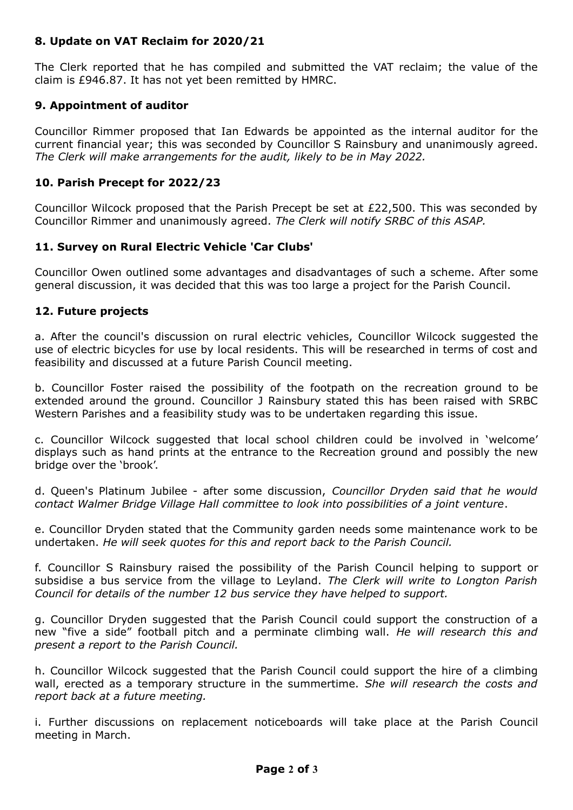## **8. Update on VAT Reclaim for 2020/21**

The Clerk reported that he has compiled and submitted the VAT reclaim; the value of the claim is £946.87. It has not yet been remitted by HMRC.

# **9. Appointment of auditor**

Councillor Rimmer proposed that Ian Edwards be appointed as the internal auditor for the current financial year; this was seconded by Councillor S Rainsbury and unanimously agreed. *The Clerk will make arrangements for the audit, likely to be in May 2022.*

## **10. Parish Precept for 2022/23**

Councillor Wilcock proposed that the Parish Precept be set at £22,500. This was seconded by Councillor Rimmer and unanimously agreed. *The Clerk will notify SRBC of this ASAP.*

# **11. Survey on Rural Electric Vehicle 'Car Clubs'**

Councillor Owen outlined some advantages and disadvantages of such a scheme. After some general discussion, it was decided that this was too large a project for the Parish Council.

## **12. Future projects**

a. After the council's discussion on rural electric vehicles, Councillor Wilcock suggested the use of electric bicycles for use by local residents. This will be researched in terms of cost and feasibility and discussed at a future Parish Council meeting.

b. Councillor Foster raised the possibility of the footpath on the recreation ground to be extended around the ground. Councillor J Rainsbury stated this has been raised with SRBC Western Parishes and a feasibility study was to be undertaken regarding this issue.

c. Councillor Wilcock suggested that local school children could be involved in 'welcome' displays such as hand prints at the entrance to the Recreation ground and possibly the new bridge over the 'brook'.

d. Queen's Platinum Jubilee - after some discussion, *Councillor Dryden said that he would contact Walmer Bridge Village Hall committee to look into possibilities of a joint venture*.

e. Councillor Dryden stated that the Community garden needs some maintenance work to be undertaken. *He will seek quotes for this and report back to the Parish Council.*

f. Councillor S Rainsbury raised the possibility of the Parish Council helping to support or subsidise a bus service from the village to Leyland. *The Clerk will write to Longton Parish Council for details of the number 12 bus service they have helped to support.*

g. Councillor Dryden suggested that the Parish Council could support the construction of a new "five a side" football pitch and a perminate climbing wall. *He will research this and present a report to the Parish Council.*

h. Councillor Wilcock suggested that the Parish Council could support the hire of a climbing wall, erected as a temporary structure in the summertime. *She will research the costs and report back at a future meeting.*

i. Further discussions on replacement noticeboards will take place at the Parish Council meeting in March.